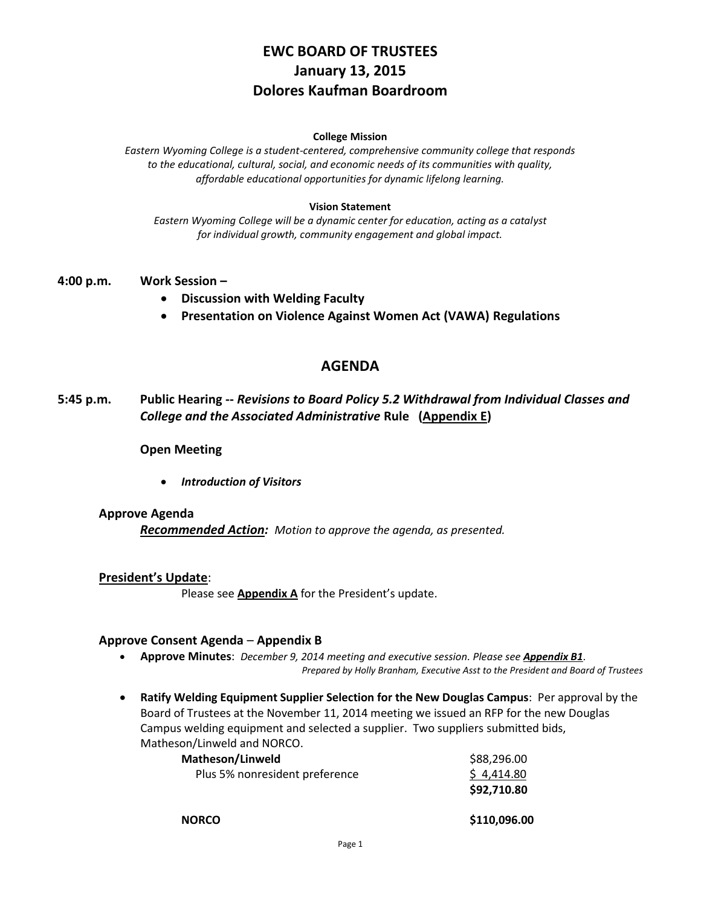# **EWC BOARD OF TRUSTEES January 13, 2015 Dolores Kaufman Boardroom**

#### **College Mission**

*Eastern Wyoming College is a student-centered, comprehensive community college that responds to the educational, cultural, social, and economic needs of its communities with quality, affordable educational opportunities for dynamic lifelong learning.*

#### **Vision Statement**

*Eastern Wyoming College will be a dynamic center for education, acting as a catalyst for individual growth, community engagement and global impact.*

## **4:00 p.m. Work Session –**

- **Discussion with Welding Faculty**
- **Presentation on Violence Against Women Act (VAWA) Regulations**

## **AGENDA**

**5:45 p.m. Public Hearing --** *Revisions to Board Policy 5.2 Withdrawal from Individual Classes and College and the Associated Administrative* **Rule (Appendix E)**

**Open Meeting**

*Introduction of Visitors*

#### **Approve Agenda**

*Recommended Action: Motion to approve the agenda, as presented.*

#### **President's Update**:

Please see **Appendix A** for the President's update.

## **Approve Consent Agenda** – **Appendix B**

- **Approve Minutes**: *December 9, 2014 meeting and executive session. Please see Appendix B1*. *Prepared by Holly Branham, Executive Asst to the President and Board of Trustees*
- **Ratify Welding Equipment Supplier Selection for the New Douglas Campus**: Per approval by the Board of Trustees at the November 11, 2014 meeting we issued an RFP for the new Douglas Campus welding equipment and selected a supplier. Two suppliers submitted bids, Matheson/Linweld and NORCO.

| <b>Matheson/Linweld</b>        | \$88,296.00  |
|--------------------------------|--------------|
| Plus 5% nonresident preference | \$4,414.80   |
|                                | \$92,710.80  |
| <b>NORCO</b>                   | \$110,096.00 |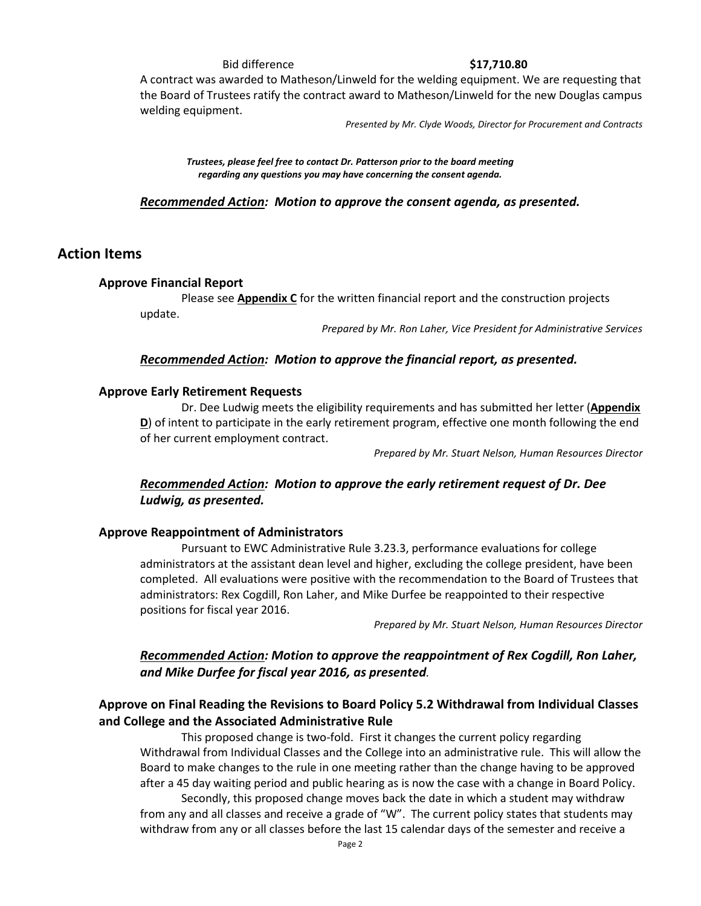Bid difference **\$17,710.80**

A contract was awarded to Matheson/Linweld for the welding equipment. We are requesting that the Board of Trustees ratify the contract award to Matheson/Linweld for the new Douglas campus welding equipment.

*Presented by Mr. Clyde Woods, Director for Procurement and Contracts*

*Trustees, please feel free to contact Dr. Patterson prior to the board meeting regarding any questions you may have concerning the consent agenda.*

*Recommended Action: Motion to approve the consent agenda, as presented.*

## **Action Items**

## **Approve Financial Report**

Please see **Appendix C** for the written financial report and the construction projects update.

*Prepared by Mr. Ron Laher, Vice President for Administrative Services*

## *Recommended Action: Motion to approve the financial report, as presented.*

## **Approve Early Retirement Requests**

Dr. Dee Ludwig meets the eligibility requirements and has submitted her letter (**Appendix D**) of intent to participate in the early retirement program, effective one month following the end of her current employment contract.

*Prepared by Mr. Stuart Nelson, Human Resources Director*

## *Recommended Action: Motion to approve the early retirement request of Dr. Dee Ludwig, as presented.*

#### **Approve Reappointment of Administrators**

Pursuant to EWC Administrative Rule 3.23.3, performance evaluations for college administrators at the assistant dean level and higher, excluding the college president, have been completed. All evaluations were positive with the recommendation to the Board of Trustees that administrators: Rex Cogdill, Ron Laher, and Mike Durfee be reappointed to their respective positions for fiscal year 2016.

*Prepared by Mr. Stuart Nelson, Human Resources Director*

## *Recommended Action: Motion to approve the reappointment of Rex Cogdill, Ron Laher, and Mike Durfee for fiscal year 2016, as presented.*

## **Approve on Final Reading the Revisions to Board Policy 5.2 Withdrawal from Individual Classes and College and the Associated Administrative Rule**

This proposed change is two-fold. First it changes the current policy regarding Withdrawal from Individual Classes and the College into an administrative rule. This will allow the Board to make changes to the rule in one meeting rather than the change having to be approved after a 45 day waiting period and public hearing as is now the case with a change in Board Policy.

Secondly, this proposed change moves back the date in which a student may withdraw from any and all classes and receive a grade of "W". The current policy states that students may withdraw from any or all classes before the last 15 calendar days of the semester and receive a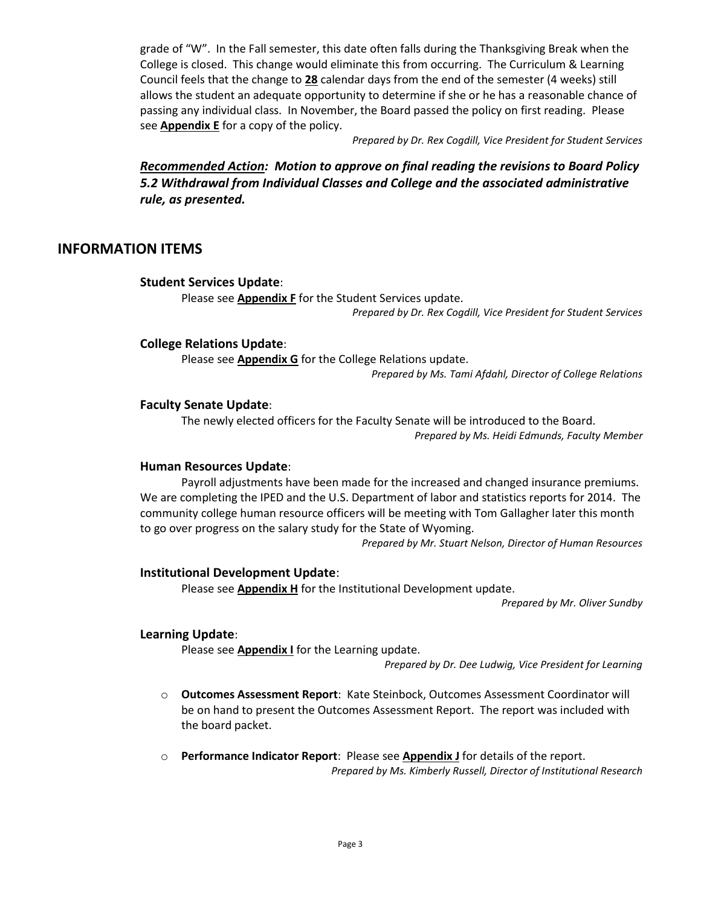grade of "W". In the Fall semester, this date often falls during the Thanksgiving Break when the College is closed. This change would eliminate this from occurring. The Curriculum & Learning Council feels that the change to **28** calendar days from the end of the semester (4 weeks) still allows the student an adequate opportunity to determine if she or he has a reasonable chance of passing any individual class. In November, the Board passed the policy on first reading. Please see **Appendix E** for a copy of the policy.

*Prepared by Dr. Rex Cogdill, Vice President for Student Services*

*Recommended Action: Motion to approve on final reading the revisions to Board Policy 5.2 Withdrawal from Individual Classes and College and the associated administrative rule, as presented.*

## **INFORMATION ITEMS**

## **Student Services Update**:

Please see **Appendix F** for the Student Services update.

*Prepared by Dr. Rex Cogdill, Vice President for Student Services*

## **College Relations Update**:

Please see **Appendix G** for the College Relations update.

*Prepared by Ms. Tami Afdahl, Director of College Relations*

## **Faculty Senate Update**:

The newly elected officers for the Faculty Senate will be introduced to the Board. *Prepared by Ms. Heidi Edmunds, Faculty Member*

## **Human Resources Update**:

Payroll adjustments have been made for the increased and changed insurance premiums. We are completing the IPED and the U.S. Department of labor and statistics reports for 2014. The community college human resource officers will be meeting with Tom Gallagher later this month to go over progress on the salary study for the State of Wyoming.

*Prepared by Mr. Stuart Nelson, Director of Human Resources*

## **Institutional Development Update**:

Please see **Appendix H** for the Institutional Development update.

*Prepared by Mr. Oliver Sundby*

## **Learning Update**:

Please see **Appendix I** for the Learning update.

*Prepared by Dr. Dee Ludwig, Vice President for Learning*

- o **Outcomes Assessment Report**: Kate Steinbock, Outcomes Assessment Coordinator will be on hand to present the Outcomes Assessment Report. The report was included with the board packet.
- o **Performance Indicator Report**: Please see **Appendix J** for details of the report. *Prepared by Ms. Kimberly Russell, Director of Institutional Research*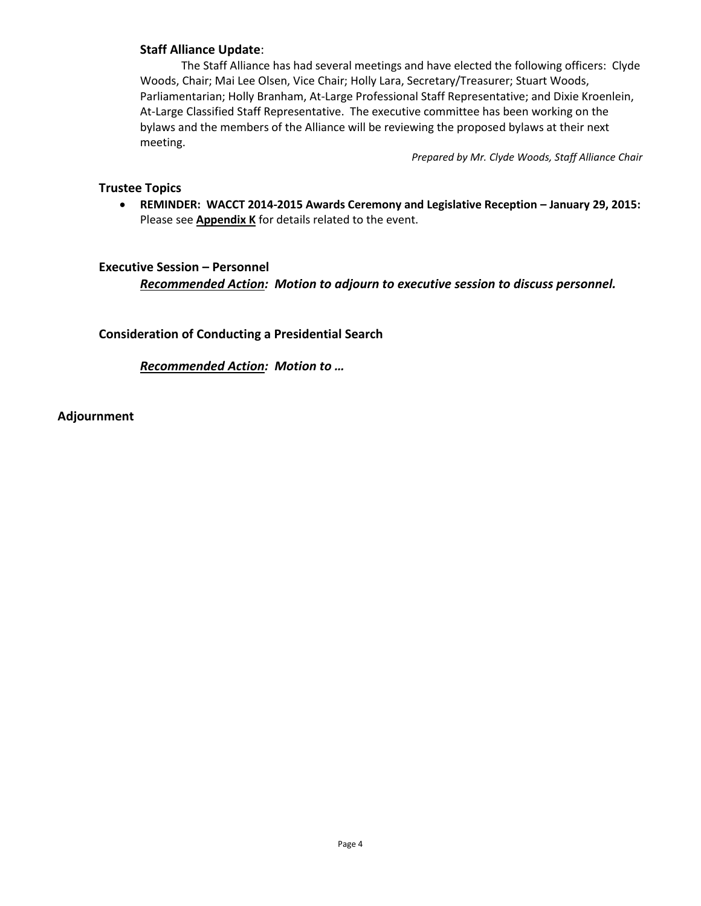## **Staff Alliance Update**:

The Staff Alliance has had several meetings and have elected the following officers: Clyde Woods, Chair; Mai Lee Olsen, Vice Chair; Holly Lara, Secretary/Treasurer; Stuart Woods, Parliamentarian; Holly Branham, At-Large Professional Staff Representative; and Dixie Kroenlein, At-Large Classified Staff Representative. The executive committee has been working on the bylaws and the members of the Alliance will be reviewing the proposed bylaws at their next meeting.

*Prepared by Mr. Clyde Woods, Staff Alliance Chair*

## **Trustee Topics**

 **REMINDER: WACCT 2014-2015 Awards Ceremony and Legislative Reception – January 29, 2015:**  Please see **Appendix K** for details related to the event.

## **Executive Session – Personnel**

*Recommended Action: Motion to adjourn to executive session to discuss personnel.*

**Consideration of Conducting a Presidential Search**

*Recommended Action: Motion to …* 

**Adjournment**